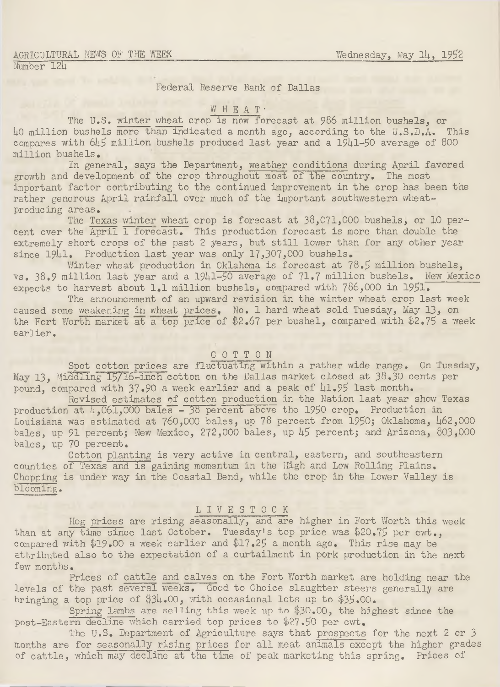#### Federal Reserve Bank of Dallas

# WHEAT ·

The U.S. winter wheat crop is now forecast at 986 million bushels, or 40 million bushels more than indicated a month ago, according to the u.S.D.A. This compares with  $645$  million bushels produced last year and a 19 $41-50$  average of 800 million bushels.

In general, says the Department, weather conditions during April favored growth and development of the crop throughout most of the country. The most important factor contributing to the continued improvement in the crop has been the rather generous April rainfall over much of the important southwestern wheatproducing areas.

The Texas winter wheat crop is forecast at 38,071,000 bushels, or 10 percent over the April 1 forecast. This production forecast is more than double the extremely short crops of the past 2 years, but still lower than for any other year since  $1941.$  Production last year was only 17,307,000 bushels.

Winter wheat production in Oklahoma is forecast at  $78.5$  million bushels, vs. 38.9 million last year and a 1941-50 average of 71.7 million bushels. New Mexico expects to harvest about 1.1 million bushels, compared with  $786,000$  in  $1951$ .

The announcement of an upward revision in the winter wheat crop last week caused some weakening in wheat prices. No. 1 hard wheat sold Tuesday, May 13, on the Fort Worth market at a top price of \$2.67 per bushel, compared with \$2.75 a week earlier.

#### COTTON

Spot cotton prices are fluctuating within a rather wide range. On Tuesday, May 13, Middling l5/l6-inch cotton on the Dallas market closed at 38.30 cents per pound, compared with 37.90 a week earlier and a peak of 41.95 last month.

Revised estimates of cotton production in the Nation last year show Texas production at  $\frac{1}{4}$ ,061,000 bales - 38 percent above the 1950 crop. Production in Louisiana was estimated at  $760,000$  bales, up  $78$  percent from 1950; Oklahoma,  $\mu$ 62,000 bales, up 91 percent; New Mexico, 272,000 bales, up 45 percent; and Arizona, 803,000 bales, up 70 percent.

Cotton planting is very active in central, eastern, and southeastern counties of Texas and is gaining momentum in the High and Low Rolling Plains. Chopping is under way in the Coastal Bend, while the crop in the Lower Valley is blooming.

#### LIVESTOCK

Hog prices are rising seasonally, and are higher in Fort Worth this week than at any time since last October. Tuesday's top price was \$20.75 per cwt., compared with \$19.00 a week earlier and \$17.25 a month ago. This rise may be attributed also to the expectation of a curtailment in pork production in the next few months.

Prices of cattle and calves on the Fort Worth market are holding near the levels of the past several weeks. Good to Choice slaughter steers generally are bringing a top price of  $34.00$ , with occasional lots up to  $35.00$ .

Spring lambs are selling this week up to  $$30.00$ , the highest since the post-Eastern decline which carried top prices to \$27.50 per cwt.

The U.S. Department of Agriculture says that prospects for the next 2 or 3 months are for seasonally rising prices for all meat animals except the higher grades of cattle, which may decline at the time of peak marketing this spring. Prices of